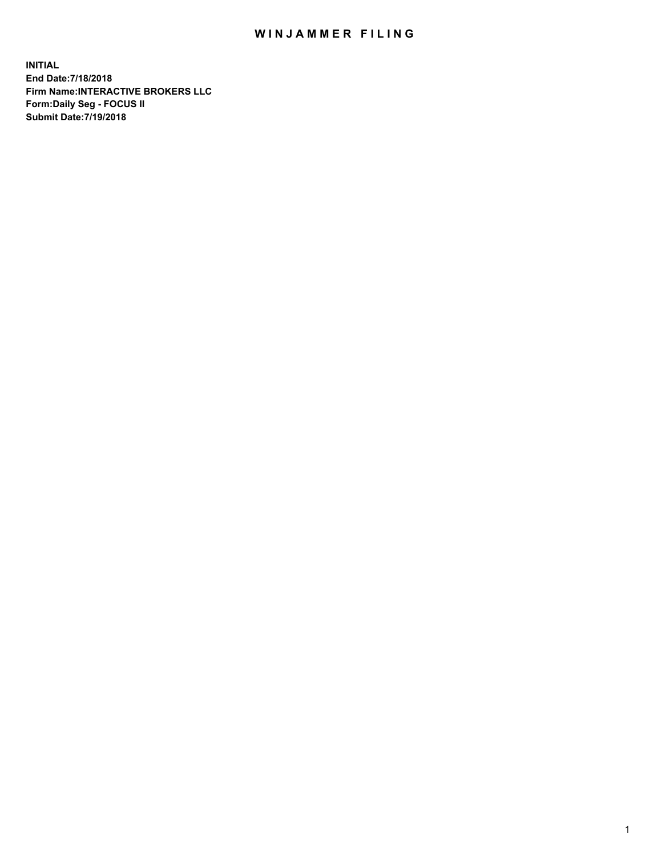## WIN JAMMER FILING

**INITIAL End Date:7/18/2018 Firm Name:INTERACTIVE BROKERS LLC Form:Daily Seg - FOCUS II Submit Date:7/19/2018**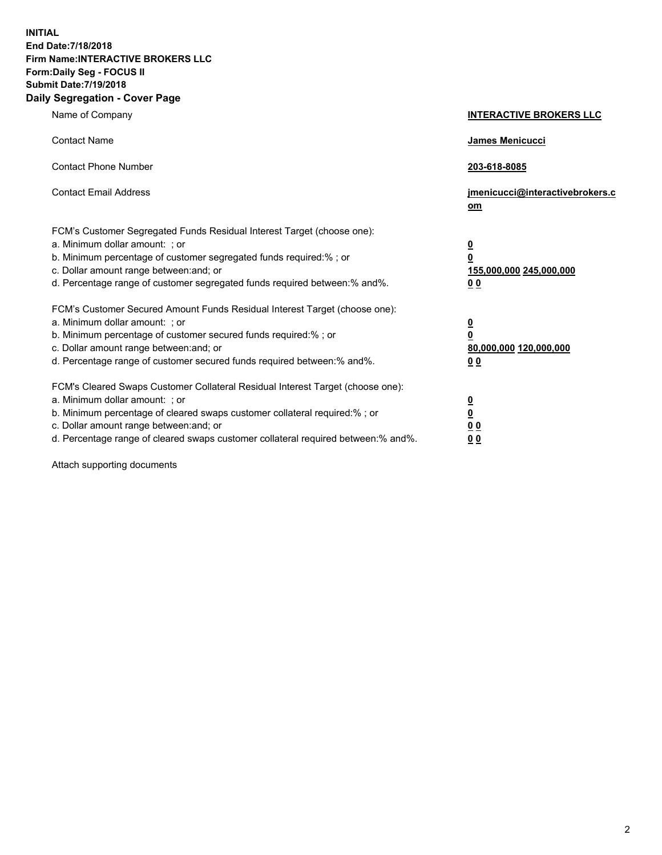**INITIAL End Date:7/18/2018 Firm Name:INTERACTIVE BROKERS LLC Form:Daily Seg - FOCUS II Submit Date:7/19/2018 Daily Segregation - Cover Page**

| Name of Company                                                                                                                                                                                                                                                                                                                | <b>INTERACTIVE BROKERS LLC</b>                                                                  |  |
|--------------------------------------------------------------------------------------------------------------------------------------------------------------------------------------------------------------------------------------------------------------------------------------------------------------------------------|-------------------------------------------------------------------------------------------------|--|
| <b>Contact Name</b>                                                                                                                                                                                                                                                                                                            | James Menicucci                                                                                 |  |
| <b>Contact Phone Number</b>                                                                                                                                                                                                                                                                                                    | 203-618-8085                                                                                    |  |
| <b>Contact Email Address</b>                                                                                                                                                                                                                                                                                                   | jmenicucci@interactivebrokers.c<br>om                                                           |  |
| FCM's Customer Segregated Funds Residual Interest Target (choose one):<br>a. Minimum dollar amount: ; or<br>b. Minimum percentage of customer segregated funds required:% ; or<br>c. Dollar amount range between: and; or<br>d. Percentage range of customer segregated funds required between:% and%.                         | $\overline{\mathbf{0}}$<br>$\overline{\mathbf{0}}$<br>155,000,000 245,000,000<br>0 <sub>0</sub> |  |
| FCM's Customer Secured Amount Funds Residual Interest Target (choose one):<br>a. Minimum dollar amount: ; or<br>b. Minimum percentage of customer secured funds required:% ; or<br>c. Dollar amount range between: and; or<br>d. Percentage range of customer secured funds required between:% and%.                           | $\overline{\mathbf{0}}$<br>0<br>80,000,000 120,000,000<br>0 <sub>0</sub>                        |  |
| FCM's Cleared Swaps Customer Collateral Residual Interest Target (choose one):<br>a. Minimum dollar amount: ; or<br>b. Minimum percentage of cleared swaps customer collateral required:% ; or<br>c. Dollar amount range between: and; or<br>d. Percentage range of cleared swaps customer collateral required between:% and%. | $\overline{\mathbf{0}}$<br><u>0</u><br>$\underline{0}$ $\underline{0}$<br>00                    |  |

Attach supporting documents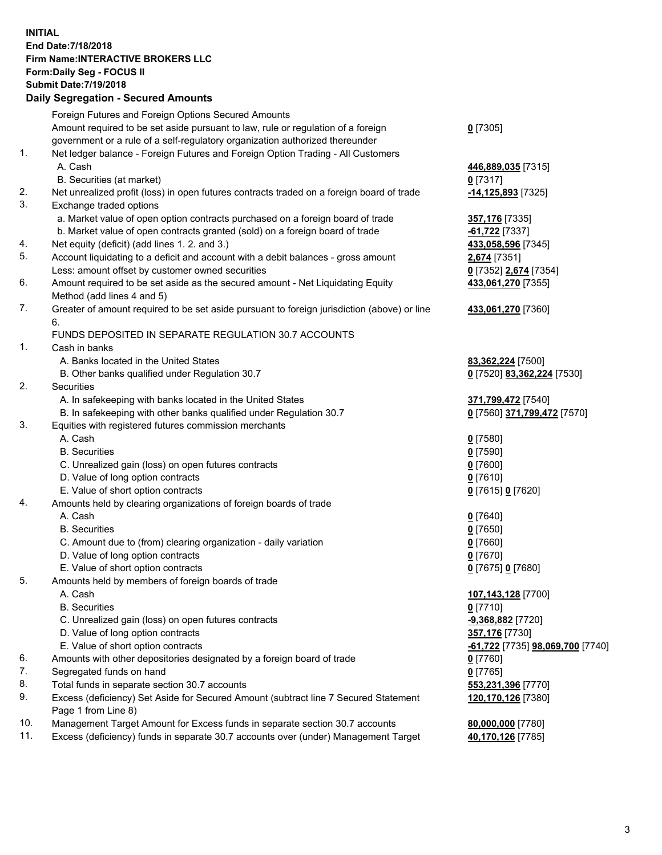## **INITIAL End Date:7/18/2018 Firm Name:INTERACTIVE BROKERS LLC Form:Daily Seg - FOCUS II Submit Date:7/19/2018 Daily Segregation - Secured Amounts**

| 446,889,035 [7315]<br>-14,125,893 <sup>[7325]</sup><br>357,176 [7335]<br>-61,722 [7337]<br>433,058,596 [7345]<br>2,674 [7351]<br>0 [7352] 2,674 [7354]<br>433,061,270 [7355]<br>433,061,270 [7360] |
|----------------------------------------------------------------------------------------------------------------------------------------------------------------------------------------------------|
|                                                                                                                                                                                                    |
|                                                                                                                                                                                                    |
|                                                                                                                                                                                                    |
|                                                                                                                                                                                                    |
|                                                                                                                                                                                                    |
|                                                                                                                                                                                                    |
|                                                                                                                                                                                                    |
|                                                                                                                                                                                                    |
|                                                                                                                                                                                                    |
|                                                                                                                                                                                                    |
|                                                                                                                                                                                                    |
|                                                                                                                                                                                                    |
|                                                                                                                                                                                                    |
|                                                                                                                                                                                                    |
|                                                                                                                                                                                                    |
|                                                                                                                                                                                                    |
|                                                                                                                                                                                                    |
|                                                                                                                                                                                                    |
|                                                                                                                                                                                                    |
| 83,362,224 [7500]                                                                                                                                                                                  |
| 0 [7520] 83,362,224 [7530]                                                                                                                                                                         |
|                                                                                                                                                                                                    |
| 371,799,472 [7540]                                                                                                                                                                                 |
| 0 [7560] 371,799,472 [7570]                                                                                                                                                                        |
|                                                                                                                                                                                                    |
|                                                                                                                                                                                                    |
|                                                                                                                                                                                                    |
|                                                                                                                                                                                                    |
|                                                                                                                                                                                                    |
| 0 [7615] 0 [7620]                                                                                                                                                                                  |
|                                                                                                                                                                                                    |
|                                                                                                                                                                                                    |
|                                                                                                                                                                                                    |
|                                                                                                                                                                                                    |
|                                                                                                                                                                                                    |
| 0 [7675] 0 [7680]                                                                                                                                                                                  |
|                                                                                                                                                                                                    |
| 107,143,128 [7700]                                                                                                                                                                                 |
|                                                                                                                                                                                                    |
| -9,368,882 [7720]                                                                                                                                                                                  |
| 357,176 [7730]                                                                                                                                                                                     |
| <u>-61,722</u> [7735] <u>98,069,700</u> [7740]                                                                                                                                                     |
|                                                                                                                                                                                                    |
|                                                                                                                                                                                                    |
|                                                                                                                                                                                                    |
| 553,231,396 [7770]                                                                                                                                                                                 |
| 120,170,126 [7380]                                                                                                                                                                                 |
|                                                                                                                                                                                                    |
| 80,000,000 [7780]<br>40,170,126 [7785]                                                                                                                                                             |
|                                                                                                                                                                                                    |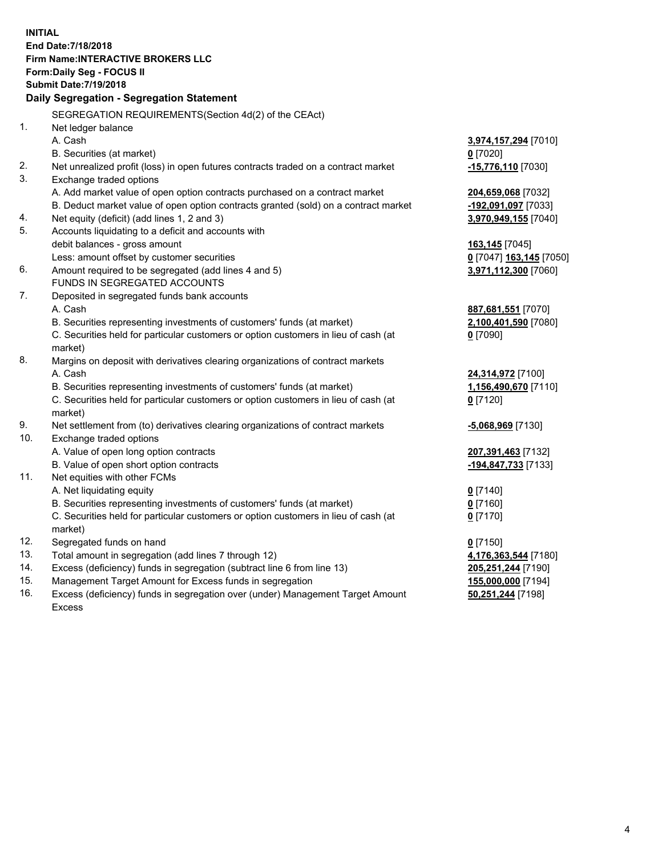**INITIAL End Date:7/18/2018 Firm Name:INTERACTIVE BROKERS LLC Form:Daily Seg - FOCUS II Submit Date:7/19/2018 Daily Segregation - Segregation Statement** SEGREGATION REQUIREMENTS(Section 4d(2) of the CEAct) 1. Net ledger balance A. Cash **3,974,157,294** [7010] B. Securities (at market) **0** [7020] 2. Net unrealized profit (loss) in open futures contracts traded on a contract market **-15,776,110** [7030] 3. Exchange traded options A. Add market value of open option contracts purchased on a contract market **204,659,068** [7032] B. Deduct market value of open option contracts granted (sold) on a contract market **-192,091,097** [7033] 4. Net equity (deficit) (add lines 1, 2 and 3) **3,970,949,155** [7040] 5. Accounts liquidating to a deficit and accounts with debit balances - gross amount **163,145** [7045] Less: amount offset by customer securities **0** [7047] **163,145** [7050] 6. Amount required to be segregated (add lines 4 and 5) **3,971,112,300** [7060] FUNDS IN SEGREGATED ACCOUNTS 7. Deposited in segregated funds bank accounts A. Cash **887,681,551** [7070] B. Securities representing investments of customers' funds (at market) **2,100,401,590** [7080] C. Securities held for particular customers or option customers in lieu of cash (at market) **0** [7090] 8. Margins on deposit with derivatives clearing organizations of contract markets A. Cash **24,314,972** [7100] B. Securities representing investments of customers' funds (at market) **1,156,490,670** [7110] C. Securities held for particular customers or option customers in lieu of cash (at market) **0** [7120] 9. Net settlement from (to) derivatives clearing organizations of contract markets **-5,068,969** [7130] 10. Exchange traded options A. Value of open long option contracts **207,391,463** [7132] B. Value of open short option contracts **-194,847,733** [7133] 11. Net equities with other FCMs A. Net liquidating equity **0** [7140] B. Securities representing investments of customers' funds (at market) **0** [7160] C. Securities held for particular customers or option customers in lieu of cash (at market) **0** [7170] 12. Segregated funds on hand **0** [7150] 13. Total amount in segregation (add lines 7 through 12) **4,176,363,544** [7180] 14. Excess (deficiency) funds in segregation (subtract line 6 from line 13) **205,251,244** [7190] 15. Management Target Amount for Excess funds in segregation **155,000,000** [7194] **50,251,244** [7198]

16. Excess (deficiency) funds in segregation over (under) Management Target Amount Excess